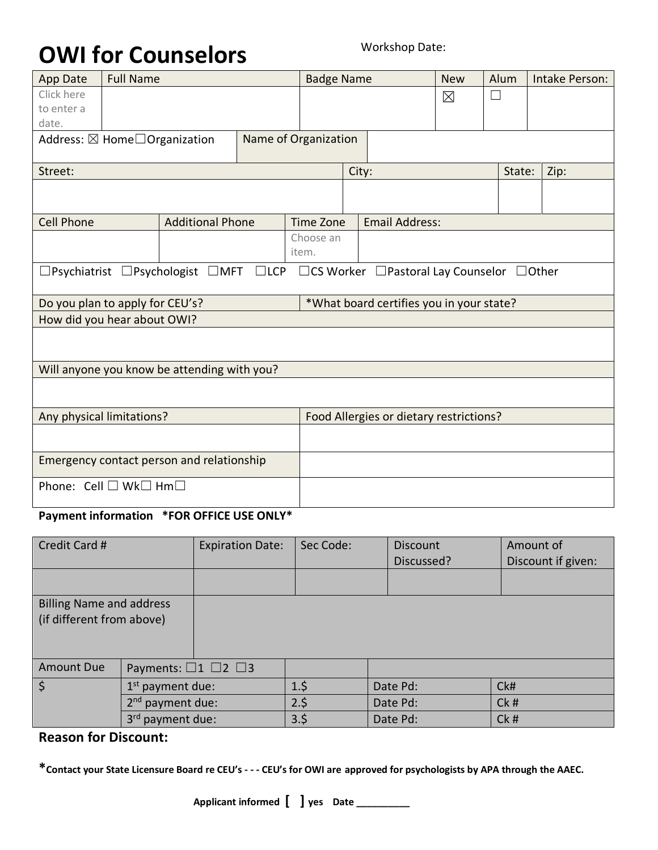# **OWI for Counselors** Workshop Date:

| <b>App Date</b>                                                                                                                    | <b>Full Name</b> |                                             |  | <b>Badge Name</b> |                                          |                       | Alum        |        | Intake Person: |  |  |
|------------------------------------------------------------------------------------------------------------------------------------|------------------|---------------------------------------------|--|-------------------|------------------------------------------|-----------------------|-------------|--------|----------------|--|--|
| Click here                                                                                                                         |                  |                                             |  |                   |                                          |                       | $\boxtimes$ | П      |                |  |  |
| to enter a                                                                                                                         |                  |                                             |  |                   |                                          |                       |             |        |                |  |  |
| date.                                                                                                                              |                  |                                             |  |                   |                                          |                       |             |        |                |  |  |
| Name of Organization<br>Address: ⊠ Home <sup>1</sup> Organization                                                                  |                  |                                             |  |                   |                                          |                       |             |        |                |  |  |
| Street:                                                                                                                            |                  |                                             |  | City:             |                                          |                       |             | State: | Zip:           |  |  |
|                                                                                                                                    |                  |                                             |  |                   |                                          |                       |             |        |                |  |  |
| <b>Cell Phone</b>                                                                                                                  |                  | <b>Additional Phone</b>                     |  | Time Zone         |                                          | <b>Email Address:</b> |             |        |                |  |  |
|                                                                                                                                    |                  |                                             |  | Choose an         |                                          |                       |             |        |                |  |  |
|                                                                                                                                    |                  |                                             |  | item.             |                                          |                       |             |        |                |  |  |
| $\square$ LCP<br>$\Box$ Psychiatrist $\Box$ Psychologist $\Box$ MFT<br>$\Box$ CS Worker $\Box$ Pastoral Lay Counselor $\Box$ Other |                  |                                             |  |                   |                                          |                       |             |        |                |  |  |
| Do you plan to apply for CEU's?                                                                                                    |                  |                                             |  |                   | *What board certifies you in your state? |                       |             |        |                |  |  |
| How did you hear about OWI?                                                                                                        |                  |                                             |  |                   |                                          |                       |             |        |                |  |  |
|                                                                                                                                    |                  |                                             |  |                   |                                          |                       |             |        |                |  |  |
|                                                                                                                                    |                  | Will anyone you know be attending with you? |  |                   |                                          |                       |             |        |                |  |  |
|                                                                                                                                    |                  |                                             |  |                   |                                          |                       |             |        |                |  |  |
| Any physical limitations?                                                                                                          |                  |                                             |  |                   | Food Allergies or dietary restrictions?  |                       |             |        |                |  |  |
|                                                                                                                                    |                  |                                             |  |                   |                                          |                       |             |        |                |  |  |
| Emergency contact person and relationship                                                                                          |                  |                                             |  |                   |                                          |                       |             |        |                |  |  |
| Phone: Cell □ Wk□ Hm□                                                                                                              |                  |                                             |  |                   |                                          |                       |             |        |                |  |  |

#### **Payment information \*FOR OFFICE USE ONLY\***

| Credit Card #                                                |                                      | <b>Expiration Date:</b> | Sec Code: | <b>Discount</b><br>Discussed? | Amount of<br>Discount if given: |
|--------------------------------------------------------------|--------------------------------------|-------------------------|-----------|-------------------------------|---------------------------------|
|                                                              |                                      |                         |           |                               |                                 |
| <b>Billing Name and address</b><br>(if different from above) |                                      |                         |           |                               |                                 |
| <b>Amount Due</b>                                            | Payments: $\Box$ 1 $\Box$ 2 $\Box$ 3 |                         |           |                               |                                 |
| $\overline{\mathsf{s}}$                                      | $1st$ payment due:                   |                         | 1.5       | Date Pd:                      | CkH                             |
|                                                              | $2nd$ payment due:                   |                         | 2.5       | Date Pd:                      | Ck#                             |
|                                                              | 3 <sup>rd</sup><br>payment due:      |                         | 3.5       | Date Pd:                      | Ck#                             |

#### **Reason for Discount:**

**\*Contact your State Licensure Board re CEU's - - - CEU's for OWI are approved for psychologists by APA through the AAEC.**